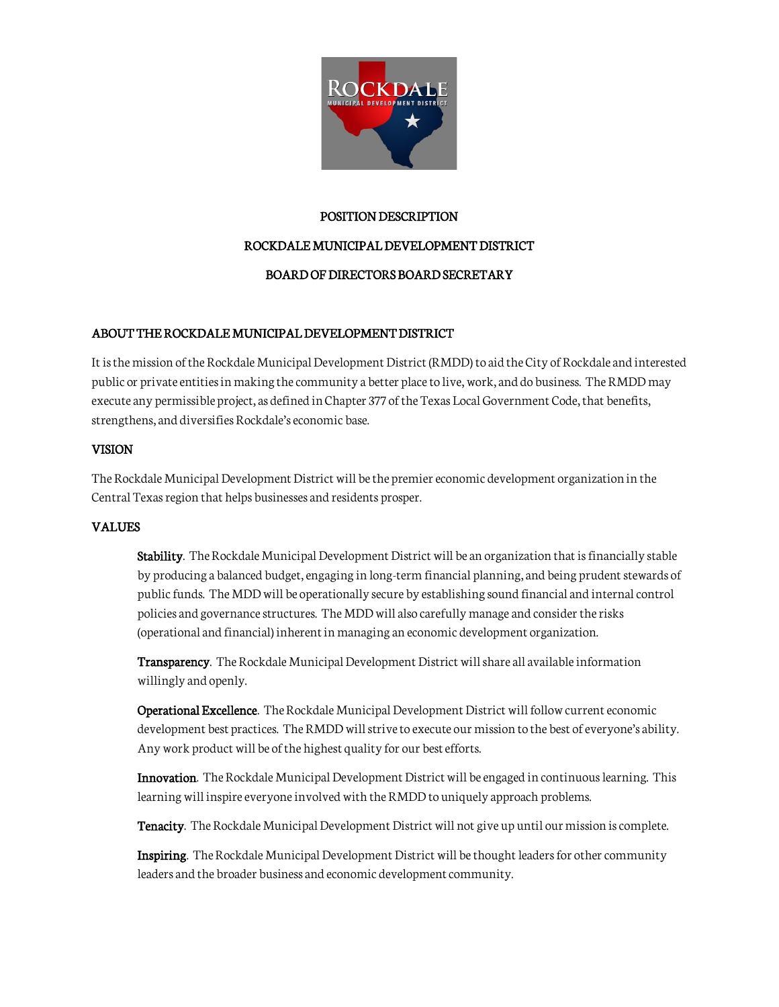

## POSITION DESCRIPTION

# ROCKDALE MUNICIPAL DEVELOPMENT DISTRICT

# BOARD OF DIRECTORS BOARD SECRETARY

# ABOUT THE ROCKDALE MUNICIPAL DEVELOPMENT DISTRICT

It is the mission of the Rockdale Municipal Development District (RMDD) to aid the City of Rockdale and interested public or private entities in making the community a better place to live, work, and do business. The RMDD may execute any permissible project, as defined in Chapter 377 of the Texas Local Government Code, that benefits, strengthens, and diversifies Rockdale's economic base.

## VISION

The Rockdale Municipal Development District will be the premier economic development organization in the Central Texas region that helps businesses and residents prosper.

## VALUES

Stability. The Rockdale Municipal Development District will be an organization that is financially stable by producing a balanced budget, engaging in long-term financial planning, and being prudent stewards of public funds. The MDD will be operationally secure by establishing sound financial and internal control policies and governance structures. The MDD will also carefully manage and consider the risks (operational and financial) inherent in managing an economic development organization.

Transparency. The Rockdale Municipal Development District will share all available information willingly and openly.

Operational Excellence. The Rockdale Municipal Development District will follow current economic development best practices. The RMDD will strive to execute our mission to the best of everyone's ability. Any work product will be of the highest quality for our best efforts.

Innovation. The Rockdale Municipal Development District will be engaged in continuous learning. This learning will inspire everyone involved with the RMDD to uniquely approach problems.

Tenacity. The Rockdale Municipal Development District will not give up until our mission is complete.

Inspiring. The Rockdale Municipal Development District will be thought leaders for other community leaders and the broader business and economic development community.